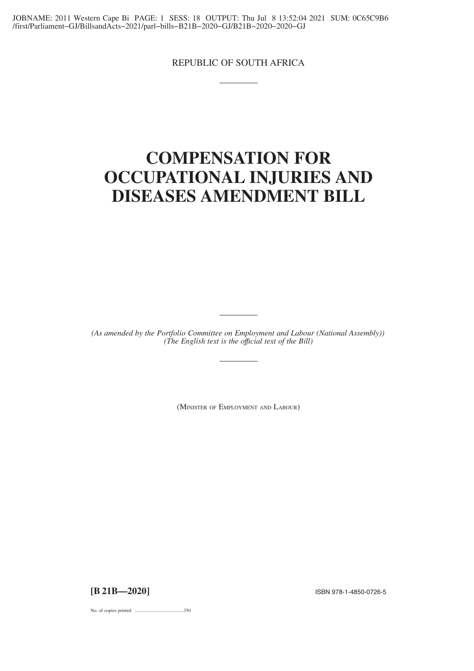REPUBLIC OF SOUTH AFRICA

# **COMPENSATION FOR OCCUPATIONAL INJURIES AND DISEASES AMENDMENT BILL**

*(As amended by the Portfolio Committee on Employment and Labour (National Assembly)) (The English text is the offıcial text of the Bill)*

(MINISTER OF EMPLOYMENT AND LABOUR)

**[B 21B—2020]** ISBN 978-1-4850-0726-5

No. of copies printed .........................................350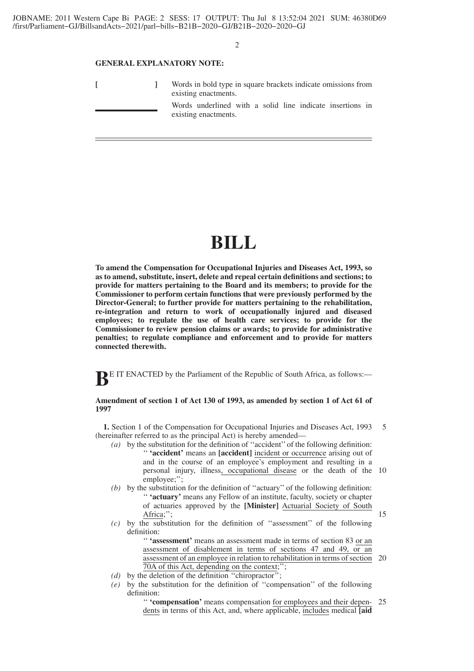$\mathfrak{D}$ 

#### **GENERAL EXPLANATORY NOTE:**

|  | Words in bold type in square brackets indicate omissions from<br>existing enactments. |                                                                                   |  |  |  |  |  |  |
|--|---------------------------------------------------------------------------------------|-----------------------------------------------------------------------------------|--|--|--|--|--|--|
|  |                                                                                       | Words underlined with a solid line indicate insertions in<br>existing enactments. |  |  |  |  |  |  |

# **BILL**

**To amend the Compensation for Occupational Injuries and Diseases Act, 1993, so as to amend, substitute, insert, delete and repeal certain definitions and sections; to provide for matters pertaining to the Board and its members; to provide for the Commissioner to perform certain functions that were previously performed by the Director-General; to further provide for matters pertaining to the rehabilitation, re-integration and return to work of occupationally injured and diseased employees; to regulate the use of health care services; to provide for the Commissioner to review pension claims or awards; to provide for administrative penalties; to regulate compliance and enforcement and to provide for matters connected therewith.**

**BE IT ENACTED** by the Parliament of the Republic of South Africa, as follows:-

# **Amendment of section 1 of Act 130 of 1993, as amended by section 1 of Act 61 of 1997**

**1.** Section 1 of the Compensation for Occupational Injuries and Diseases Act, 1993 (hereinafter referred to as the principal Act) is hereby amended— 5

- *(a)* by the substitution for the definition of ''accident'' of the following definition: '' **'accident'** means an **[accident]** incident or occurrence arising out of and in the course of an employee's employment and resulting in a personal injury, illness, occupational disease or the death of the 10 employee;";
- *(b)* by the substitution for the definition of ''actuary'' of the following definition: '' **'actuary'** means any Fellow of an institute, faculty, society or chapter of actuaries approved by the **[Minister]** Actuarial Society of South Africa;";
- *(c)* by the substitution for the definition of ''assessment'' of the following definition:

'' **'assessment'** means an assessment made in terms of section 83 or an assessment of disablement in terms of sections 47 and 49, or an assessment of an employee in relation to rehabilitation in terms of section 20 70A of this Act, depending on the context;'';

- *(d)* by the deletion of the definition ''chiropractor'';
- *(e)* by the substitution for the definition of ''compensation'' of the following definition:

'' **'compensation'** means compensation for employees and their dependents in terms of this Act, and, where applicable, includes medical **[aid** 25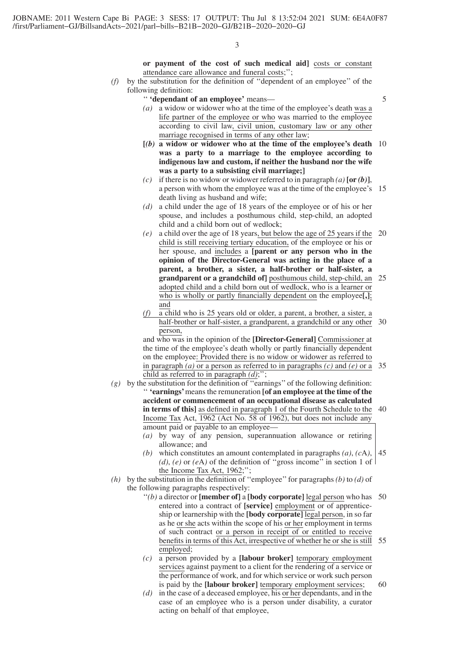**or payment of the cost of such medical aid]** costs or constant attendance care allowance and funeral costs;'';

*(f)* by the substitution for the definition of ''dependent of an employee'' of the following definition:

#### '' **'dependant of an employee'** means—

5

- *(a)* a widow or widower who at the time of the employee's death was a life partner of the employee or who was married to the employee according to civil law, civil union, customary law or any other marriage recognised in terms of any other law;
- **[***(b)* **a widow or widower who at the time of the employee's death** 10 **was a party to a marriage to the employee according to indigenous law and custom, if neither the husband nor the wife was a party to a subsisting civil marriage;]**
- *(c)* if there is no widow or widower referred to in paragraph  $(a)$  [or  $(b)$ ], a person with whom the employee was at the time of the employee's 15 death living as husband and wife;
- *(d)* a child under the age of 18 years of the employee or of his or her spouse, and includes a posthumous child, step-child, an adopted child and a child born out of wedlock;
- *(e)* a child over the age of 18 years, but below the age of 25 years if the 20 child is still receiving tertiary education, of the employee or his or her spouse, and includes a **[parent or any person who in the opinion of the Director-General was acting in the place of a parent, a brother, a sister, a half-brother or half-sister, a grandparent or a grandchild of]** posthumous child, step-child, an 25 adopted child and a child born out of wedlock, who is a learner or who is wholly or partly financially dependent on the employee**[,]**; and
- *(f)* a child who is 25 years old or older, a parent, a brother, a sister, a half-brother or half-sister, a grandparent, a grandchild or any other 30 person,

and who was in the opinion of the **[Director-General]** Commissioner at the time of the employee's death wholly or partly financially dependent on the employee: Provided there is no widow or widower as referred to in paragraph *(a)* or a person as referred to in paragraphs *(c)* and *(e)* or a child as referred to in paragraph *(d)*;''; 35

- *(g)* by the substitution for the definition of ''earnings'' of the following definition: '' **'earnings'**means the remuneration **[of an employee at the time of the accident or commencement of an occupational disease as calculated in terms of this]** as defined in paragraph 1 of the Fourth Schedule to the Income Tax Act, 1962 (Act No. 58 of 1962), but does not include any amount paid or payable to an employee— 40
	- *(a)* by way of any pension, superannuation allowance or retiring allowance; and
	- *(b)* which constitutes an amount contemplated in paragraphs *(a)*, *(c*A*)*, *(d)*, *(e)* or *(e*A*)* of the definition of ''gross income'' in section 1 of the Income Tax Act, 1962;''; 45
- *(h)* by the substitution in the definition of "employee" for paragraphs *(b)* to *(d)* of the following paragraphs respectively:
	- ''*(b)* a director or **[member of]** a **[body corporate]** legal person who has 50 entered into a contract of **[service]** employment or of apprenticeship or learnership with the **[body corporate]** legal person, in so far as he or she acts within the scope of his or her employment in terms of such contract or a person in receipt of or entitled to receive benefits in terms of this Act, irrespective of whether he or she is still 55 employed;
	- *(c)* a person provided by a **[labour broker]** temporary employment services against payment to a client for the rendering of a service or the performance of work, and for which service or work such person is paid by the **[labour broker]** temporary employment services; 60
	- *(d)* in the case of a deceased employee, his or her dependants, and in the case of an employee who is a person under disability, a curator acting on behalf of that employee,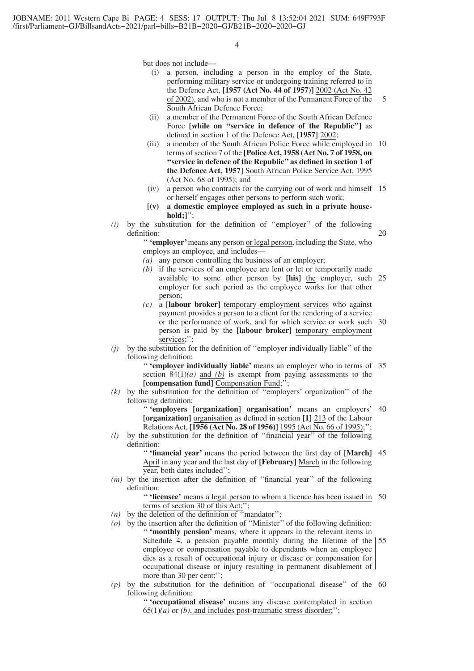but does not include—

- (i) a person, including a person in the employ of the State, performing military service or undergoing training referred to in the Defence Act, **[1957 (Act No. 44 of 1957)]** 2002 (Act No. 42 of 2002), and who is not a member of the Permanent Force of the South African Defence Force; 5
- (ii) a member of the Permanent Force of the South African Defence Force **[while on ''service in defence of the Republic'']** as defined in section 1 of the Defence Act, **[1957]** 2002;
- (iii) a member of the South African Police Force while employed in 10 terms of section 7 of the **[Police Act, 1958 (Act No. 7 of 1958, on ''service in defence of the Republic'' as defined in section 1 of the Defence Act, 1957]** South African Police Service Act, 1995 (Act No. 68 of 1995); and
- (iv) a person who contracts for the carrying out of work and himself 15 or herself engages other persons to perform such work;
- **[(v) a domestic employee employed as such in a private household;]**'';
- *(i)* by the substitution for the definition of ''employer'' of the following definition: 20

'' **'employer'**means any person or legal person, including the State, who employs an employee, and includes—

- *(a)* any person controlling the business of an employer;
- *(b)* if the services of an employee are lent or let or temporarily made available to some other person by **[his]** the employer, such 25 employer for such period as the employee works for that other person;
- *(c)* a **[labour broker]** temporary employment services who against payment provides a person to a client for the rendering of a service or the performance of work, and for which service or work such 30 person is paid by the **[labour broker]** temporary employment services;'
- *(j)* by the substitution for the definition of ''employer individually liable'' of the following definition:

'' **'employer individually liable'** means an employer who in terms of 35 section 84(1)*(a)* and *(b)* is exempt from paying assessments to the **[compensation fund]** Compensation Fund;'';

*(k)* by the substitution for the definition of ''employers' organization'' of the following definition:

> '' **'employers [organization] organisation'** means an employers' 40 **[organization]** organisation as defined in section **[1]** 213 of the Labour Relations Act, **[1956 (Act No. 28 of 1956)]** 1995 (Act No. 66 of 1995);'';

*(l)* by the substitution for the definition of ''financial year'' of the following definition:

> '' **'financial year'** means the period between the first day of **[March]** 45 April in any year and the last day of **[February]** March in the following year, both dates included'';

*(m)* by the insertion after the definition of ''financial year'' of the following definition:

> '' **'licensee'** means a legal person to whom a licence has been issued in 50 terms of section 30 of this Act;'';

- *(n)* by the deletion of the definition of ''mandator'';
- *(o)* by the insertion after the definition of ''Minister'' of the following definition: '' **'monthly pension'** means, where it appears in the relevant items in Schedule 4, a pension payable monthly during the lifetime of the employee or compensation payable to dependants when an employee dies as a result of occupational injury or disease or compensation for occupational disease or injury resulting in permanent disablement of more than 30 per cent;"; 55
- $(p)$  by the substitution for the definition of "occupational disease" of the  $60$ following definition:

'' **'occupational disease'** means any disease contemplated in section  $65(1)(a)$  or *(b)*, and includes post-traumatic stress disorder;";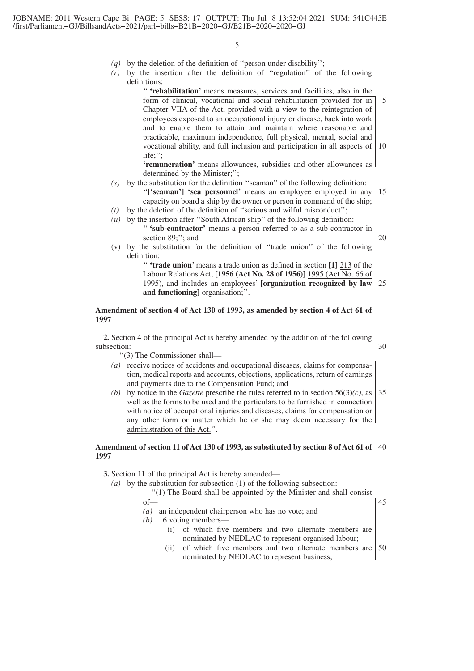- *(q)* by the deletion of the definition of ''person under disability'';
- *(r)* by the insertion after the definition of ''regulation'' of the following definitions:

'' **'rehabilitation'** means measures, services and facilities, also in the form of clinical, vocational and social rehabilitation provided for in Chapter VIIA of the Act, provided with a view to the reintegration of employees exposed to an occupational injury or disease, back into work and to enable them to attain and maintain where reasonable and practicable, maximum independence, full physical, mental, social and vocational ability, and full inclusion and participation in all aspects of 10 life;''; 5

**'remuneration'** means allowances, subsidies and other allowances as determined by the Minister;'';

# *(s)* by the substitution for the definition ''seaman'' of the following definition:

- "['seaman'] 'sea personnel' means an employee employed in any 15 capacity on board a ship by the owner or person in command of the ship;
- *(t)* by the deletion of the definition of ''serious and wilful misconduct'';
- *(u)* by the insertion after ''South African ship'' of the following definition: '' **'sub-contractor'** means a person referred to as a sub-contractor in section 89;"; and
	- 20
- (v) by the substitution for the definition of ''trade union'' of the following definition:

'' **'trade union'** means a trade union as defined in section **[1]** 213 of the Labour Relations Act, **[1956 (Act No. 28 of 1956)]** 1995 (Act No. 66 of 1995), and includes an employees' **[organization recognized by law** 25 **and functioning]** organisation;''.

# **Amendment of section 4 of Act 130 of 1993, as amended by section 4 of Act 61 of 1997**

**2.** Section 4 of the principal Act is hereby amended by the addition of the following subsection: 30

''(3) The Commissioner shall—

- *(a)* receive notices of accidents and occupational diseases, claims for compensation, medical reports and accounts, objections, applications, return of earnings and payments due to the Compensation Fund; and
- *(b)* by notice in the *Gazette* prescribe the rules referred to in section  $56(3)(c)$ , as well as the forms to be used and the particulars to be furnished in connection with notice of occupational injuries and diseases, claims for compensation or any other form or matter which he or she may deem necessary for the administration of this Act.''. 35

# **Amendment of section 11 of Act 130 of 1993, as substituted by section 8 of Act 61 of** 40 **1997**

**3.** Section 11 of the principal Act is hereby amended—

*(a)* by the substitution for subsection (1) of the following subsection:

''(1) The Board shall be appointed by the Minister and shall consist

- of— *(a)* an independent chairperson who has no vote; and
- 45
- *(b)* 16 voting members— (i) of which five members and two alternate members are nominated by NEDLAC to represent organised labour;
	- (ii) of which five members and two alternate members are nominated by NEDLAC to represent business;  $\frac{150}{2}$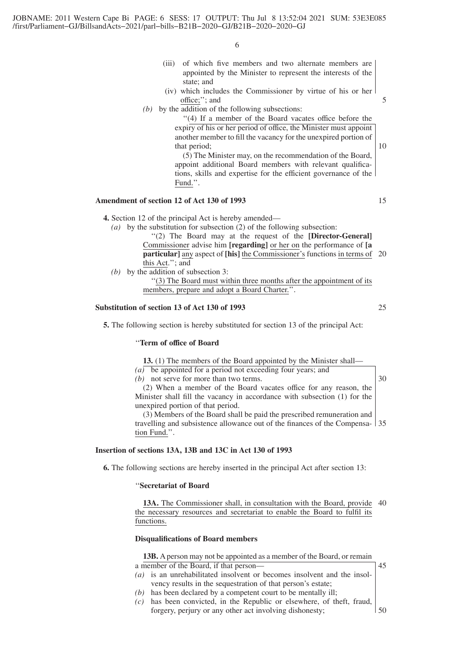- (iii) of which five members and two alternate members are appointed by the Minister to represent the interests of the state; and
- (iv) which includes the Commissioner by virtue of his or her office;''; and
- *(b)* by the addition of the following subsections:

''(4) If a member of the Board vacates office before the expiry of his or her period of office, the Minister must appoint another member to fill the vacancy for the unexpired portion of that period;

(5) The Minister may, on the recommendation of the Board, appoint additional Board members with relevant qualifications, skills and expertise for the efficient governance of the Fund.''.

# **Amendment of section 12 of Act 130 of 1993**

**4.** Section 12 of the principal Act is hereby amended—

- *(a)* by the substitution for subsection (2) of the following subsection: ''(2) The Board may at the request of the **[Director-General]** Commissioner advise him **[regarding]** or her on the performance of **[a particular]** any aspect of **[his]** the Commissioner's functions in terms of 20 this Act.''; and
- *(b)* by the addition of subsection 3:

''(3) The Board must within three months after the appointment of its members, prepare and adopt a Board Charter.''.

# **Substitution of section 13 of Act 130 of 1993**

**5.** The following section is hereby substituted for section 13 of the principal Act:

#### ''**Term of office of Board**

**13.** (1) The members of the Board appointed by the Minister shall—

*(a)* be appointed for a period not exceeding four years; and *(b)* not serve for more than two terms. (2) When a member of the Board vacates office for any reason, the Minister shall fill the vacancy in accordance with subsection (1) for the

unexpired portion of that period. (3) Members of the Board shall be paid the prescribed remuneration and travelling and subsistence allowance out of the finances of the Compensa-35 tion Fund.''.

#### **Insertion of sections 13A, 13B and 13C in Act 130 of 1993**

**6.** The following sections are hereby inserted in the principal Act after section 13:

# ''**Secretariat of Board**

13A. The Commissioner shall, in consultation with the Board, provide 40 the necessary resources and secretariat to enable the Board to fulfil its functions.

# **Disqualifications of Board members**

**13B.** A person may not be appointed as a member of the Board, or remain a member of the Board, if that person— 45

- *(a)* is an unrehabilitated insolvent or becomes insolvent and the insolvency results in the sequestration of that person's estate;
- *(b)* has been declared by a competent court to be mentally ill;
- *(c)* has been convicted, in the Republic or elsewhere, of theft, fraud, forgery, perjury or any other act involving dishonesty; 50

15

5

10

25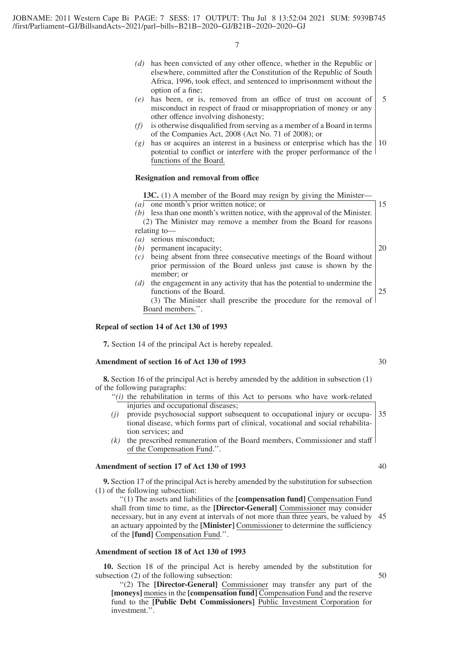- *(d)* has been convicted of any other offence, whether in the Republic or elsewhere, committed after the Constitution of the Republic of South Africa, 1996, took effect, and sentenced to imprisonment without the option of a fine;
- *(e)* has been, or is, removed from an office of trust on account of misconduct in respect of fraud or misappropriation of money or any other offence involving dishonesty; 5
- *(f)* is otherwise disqualified from serving as a member of a Board in terms of the Companies Act, 2008 (Act No. 71 of 2008); or
- *(g)* has or acquires an interest in a business or enterprise which has the potential to conflict or interfere with the proper performance of the functions of the Board. 10

# **Resignation and removal from office**

13C. (1) A member of the Board may resign by giving the Minister-

*(a)* one month's prior written notice; or *(b)* less than one month's written notice, with the approval of the Minister. (2) The Minister may remove a member from the Board for reasons

- relating to—
- *(a)* serious misconduct;
- *(b)* permanent incapacity;
- *(c)* being absent from three consecutive meetings of the Board without prior permission of the Board unless just cause is shown by the member; or
- *(d)* the engagement in any activity that has the potential to undermine the functions of the Board. 25

(3) The Minister shall prescribe the procedure for the removal of Board members.''.

#### **Repeal of section 14 of Act 130 of 1993**

**7.** Section 14 of the principal Act is hereby repealed.

#### **Amendment of section 16 of Act 130 of 1993**

**8.** Section 16 of the principal Act is hereby amended by the addition in subsection (1) of the following paragraphs:

- "(i) the rehabilitation in terms of this Act to persons who have work-related injuries and occupational diseases;
- *(j)* provide psychosocial support subsequent to occupational injury or occupational disease, which forms part of clinical, vocational and social rehabilitation services; and 35
- *(k)* the prescribed remuneration of the Board members, Commissioner and staff of the Compensation Fund.''.

# **Amendment of section 17 of Act 130 of 1993**

**9.** Section 17 of the principal Act is hereby amended by the substitution for subsection (1) of the following subsection:

''(1) The assets and liabilities of the **[compensation fund]** Compensation Fund shall from time to time, as the **[Director-General]** Commissioner may consider necessary, but in any event at intervals of not more than three years, be valued by an actuary appointed by the **[Minister]** Commissioner to determine the sufficiency of the **[fund]** Compensation Fund.''. 45

# **Amendment of section 18 of Act 130 of 1993**

**10.** Section 18 of the principal Act is hereby amended by the substitution for subsection (2) of the following subsection:

''(2) The **[Director-General]** Commissioner may transfer any part of the **[moneys]** monies in the **[compensation fund]** Compensation Fund and the reserve fund to the **[Public Debt Commissioners]** Public Investment Corporation for investment.''.

30

15

20

40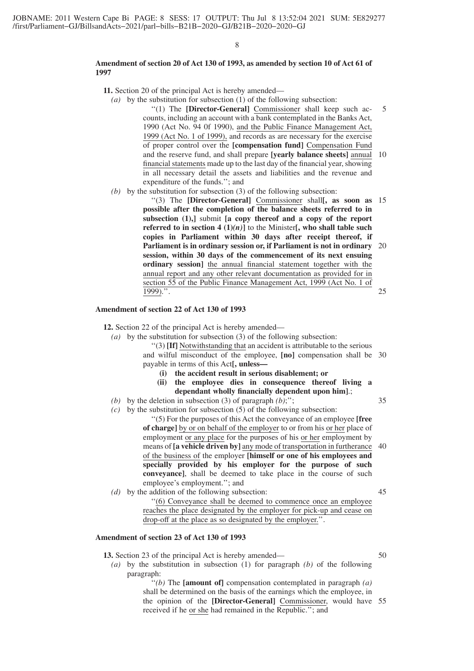#### **Amendment of section 20 of Act 130 of 1993, as amended by section 10 of Act 61 of 1997**

**11.** Section 20 of the principal Act is hereby amended—

- *(a)* by the substitution for subsection (1) of the following subsection: ''(1) The **[Director-General]** Commissioner shall keep such accounts, including an account with a bank contemplated in the Banks Act, 1990 (Act No. 94 0f 1990), and the Public Finance Management Act, 1999 (Act No. 1 of 1999), and records as are necessary for the exercise of proper control over the **[compensation fund]** Compensation Fund and the reserve fund, and shall prepare **[yearly balance sheets]** annual 10 financial statements made up to the last day of the financial year, showing in all necessary detail the assets and liabilities and the revenue and expenditure of the funds.''; and 5
- *(b)* by the substitution for subsection (3) of the following subsection:

''(3) The **[Director-General]** Commissioner shall**[, as soon as** 15 **possible after the completion of the balance sheets referred to in subsection (1),]** submit **[a copy thereof and a copy of the report referred to in section 4 (1)** $(n)$ **]** to the Minister**[, who shall table such copies in Parliament within 30 days after receipt thereof, if Parliament is in ordinary session or, if Parliament is not in ordinary** 20 **session, within 30 days of the commencement of its next ensuing ordinary session]** the annual financial statement together with the annual report and any other relevant documentation as provided for in section 55 of the Public Finance Management Act, 1999 (Act No. 1 of  $\overline{1999)}$ .". 25

# **Amendment of section 22 of Act 130 of 1993**

**12.** Section 22 of the principal Act is hereby amended—

- *(a)* by the substitution for subsection (3) of the following subsection:
	- ''(3) **[If]** Notwithstanding that an accident is attributable to the serious and wilful misconduct of the employee, **[no]** compensation shall be 30 payable in terms of this Act**[, unless—**
		- **(i) the accident result in serious disablement; or**
		- **(ii) the employee dies in consequence thereof living a dependant wholly financially dependent upon him]**.;
- *(b)* by the deletion in subsection (3) of paragraph *(b)*;'';
- *(c)* by the substitution for subsection (5) of the following subsection:

''(5) For the purposes of this Act the conveyance of an employee **[free of charge]** by or on behalf of the employer to or from his or her place of employment or any place for the purposes of his or her employment by means of **[a vehicle driven by]** any mode of transportation in furtherance of the business of the employer **[himself or one of his employees and specially provided by his employer for the purpose of such conveyance]**, shall be deemed to take place in the course of such employee's employment.''; and 40

*(d)* by the addition of the following subsection: ''(6) Conveyance shall be deemed to commence once an employee reaches the place designated by the employer for pick-up and cease on drop-off at the place as so designated by the employer.''. 45

# **Amendment of section 23 of Act 130 of 1993**

**13.** Section 23 of the principal Act is hereby amended—

*(a)* by the substitution in subsection (1) for paragraph *(b)* of the following paragraph:

> ''*(b)* The **[amount of]** compensation contemplated in paragraph *(a)* shall be determined on the basis of the earnings which the employee, in the opinion of the **[Director-General]** Commissioner, would have 55received if he or she had remained in the Republic.''; and

35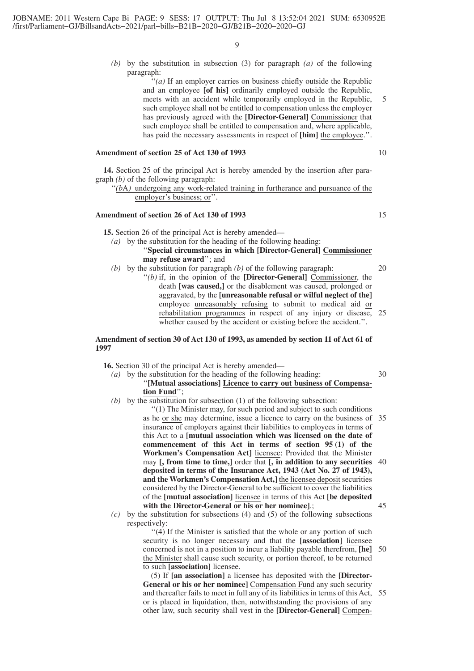*(b)* by the substitution in subsection (3) for paragraph *(a)* of the following paragraph:

> "*(a)* If an employer carries on business chiefly outside the Republic and an employee **[of his]** ordinarily employed outside the Republic, meets with an accident while temporarily employed in the Republic, such employee shall not be entitled to compensation unless the employer has previously agreed with the **[Director-General]** Commissioner that such employee shall be entitled to compensation and, where applicable, has paid the necessary assessments in respect of **[him]** the employee.''.

# **Amendment of section 25 of Act 130 of 1993**

**14.** Section 25 of the principal Act is hereby amended by the insertion after paragraph *(b)* of the following paragraph:

"(bA) undergoing any work-related training in furtherance and pursuance of the employer's business; or''.

# **Amendment of section 26 of Act 130 of 1993**

**15.** Section 26 of the principal Act is hereby amended—

- *(a)* by the substitution for the heading of the following heading: ''**Special circumstances in which [Director-General] Commissioner may refuse award**''; and
- *(b)* by the substitution for paragraph *(b)* of the following paragraph:
	- ''*(b)* if, in the opinion of the **[Director-General]** Commissioner, the death **[was caused,]** or the disablement was caused, prolonged or aggravated, by the **[unreasonable refusal or wilful neglect of the]** employee unreasonably refusing to submit to medical aid or rehabilitation programmes in respect of any injury or disease, whether caused by the accident or existing before the accident.".  $25$

#### **Amendment of section 30 of Act 130 of 1993, as amended by section 11 of Act 61 of 1997**

**16.** Section 30 of the principal Act is hereby amended—

- *(a)* by the substitution for the heading of the following heading: ''**[Mutual associations] Licence to carry out business of Compensation Fund**'';
- *(b)* by the substitution for subsection (1) of the following subsection: ''(1) The Minister may, for such period and subject to such conditions as he or she may determine, issue a licence to carry on the business of 35 insurance of employers against their liabilities to employees in terms of this Act to a **[mutual association which was licensed on the date of commencement of this Act in terms of section 95 (1) of the Workmen's Compensation Act]** licensee: Provided that the Minister may **[, from time to time,]** order that **[, in addition to any securities** 40 **deposited in terms of the Insurance Act, 1943 (Act No. 27 of 1943), and the Workmen's Compensation Act,]** the licensee deposit securities considered by the Director-General to be sufficient to cover the liabilities of the **[mutual association]** licensee in terms of this Act **[be deposited with the Director-General or his or her nominee]**.; 45
- *(c)* by the substitution for subsections (4) and (5) of the following subsections respectively:

''(4) If the Minister is satisfied that the whole or any portion of such security is no longer necessary and that the **[association]** licensee concerned is not in a position to incur a liability payable therefrom, **[he]** the Minister shall cause such security, or portion thereof, to be returned to such **[association]** licensee. 50

(5) If **[an association]** a licensee has deposited with the **[Director-General or his or her nominee]** Compensation Fund any such security and thereafter fails to meet in full any of its liabilities in terms of this Act, 55or is placed in liquidation, then, notwithstanding the provisions of any other law, such security shall vest in the **[Director-General]** Compen-

10

5

20

30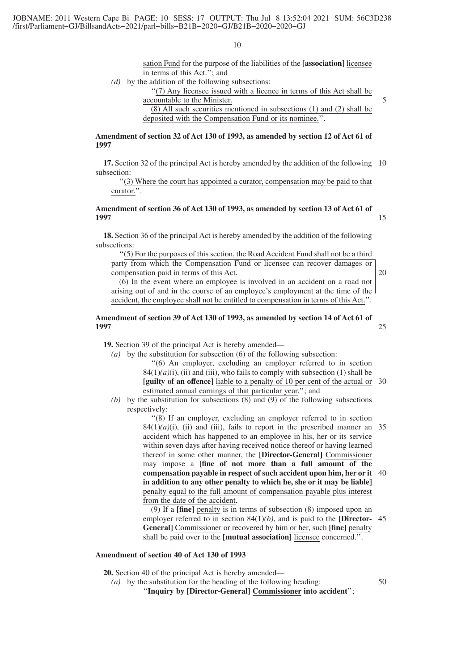sation Fund for the purpose of the liabilities of the **[association]** licensee in terms of this Act.''; and

*(d)* by the addition of the following subsections:

''(7) Any licensee issued with a licence in terms of this Act shall be accountable to the Minister.

5

(8) All such securities mentioned in subsections (1) and (2) shall be deposited with the Compensation Fund or its nominee.''.

# **Amendment of section 32 of Act 130 of 1993, as amended by section 12 of Act 61 of 1997**

**17.** Section 32 of the principal Act is hereby amended by the addition of the following 10 subsection:

''(3) Where the court has appointed a curator, compensation may be paid to that curator.''.

# **Amendment of section 36 of Act 130 of 1993, as amended by section 13 of Act 61 of 1997**

**18.** Section 36 of the principal Act is hereby amended by the addition of the following subsections:

''(5) For the purposes of this section, the Road Accident Fund shall not be a third party from which the Compensation Fund or licensee can recover damages or compensation paid in terms of this Act.

(6) In the event where an employee is involved in an accident on a road not arising out of and in the course of an employee's employment at the time of the accident, the employee shall not be entitled to compensation in terms of this Act.''.

# **Amendment of section 39 of Act 130 of 1993, as amended by section 14 of Act 61 of 1997**

**19.** Section 39 of the principal Act is hereby amended—

*(a)* by the substitution for subsection (6) of the following subsection: ''(6) An employer, excluding an employer referred to in section  $84(1)(a)(i)$ , (ii) and (iii), who fails to comply with subsection (1) shall be **[guilty of an offence]** liable to a penalty of 10 per cent of the actual or 30 estimated annual earnings of that particular year.''; and

*(b)* by the substitution for subsections (8) and (9) of the following subsections respectively:

> ''(8) If an employer, excluding an employer referred to in section  $84(1)(a)(i)$ , (ii) and (iii), fails to report in the prescribed manner an 35 accident which has happened to an employee in his, her or its service within seven days after having received notice thereof or having learned thereof in some other manner, the **[Director-General]** Commissioner may impose a **[fine of not more than a full amount of the compensation payable in respect of such accident upon him, her or it** 40 **in addition to any other penalty to which he, she or it may be liable]** penalty equal to the full amount of compensation payable plus interest from the date of the accident.

> (9) If a **[fine]** penalty is in terms of subsection (8) imposed upon an employer referred to in section 84(1)*(b)*, and is paid to the **[Director-**45 **General]** Commissioner or recovered by him or her, such **[fine]** penalty shall be paid over to the **[mutual association]** licensee concerned.''.

# **Amendment of section 40 of Act 130 of 1993**

**20.** Section 40 of the principal Act is hereby amended—

*(a)* by the substitution for the heading of the following heading:

''**Inquiry by [Director-General] Commissioner into accident**'';

20

25

50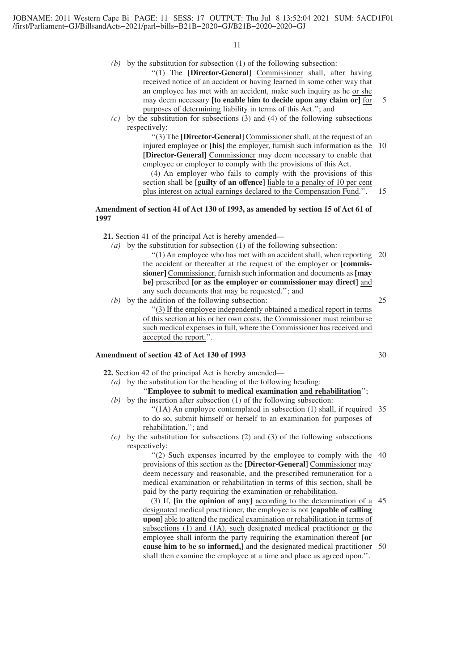- *(b)* by the substitution for subsection (1) of the following subsection: ''(1) The **[Director-General]** Commissioner shall, after having received notice of an accident or having learned in some other way that an employee has met with an accident, make such inquiry as he or she may deem necessary **[to enable him to decide upon any claim or]** for purposes of determining liability in terms of this Act.''; and 5
- *(c)* by the substitution for subsections (3) and (4) of the following subsections respectively:

''(3) The **[Director-General]** Commissioner shall, at the request of an injured employee or **[his]** the employer, furnish such information as the 10 **[Director-General]** Commissioner may deem necessary to enable that employee or employer to comply with the provisions of this Act.

(4) An employer who fails to comply with the provisions of this section shall be **[guilty of an offence]** liable to a penalty of 10 per cent plus interest on actual earnings declared to the Compensation Fund.''. 15

# **Amendment of section 41 of Act 130 of 1993, as amended by section 15 of Act 61 of 1997**

- **21.** Section 41 of the principal Act is hereby amended—
	- *(a)* by the substitution for subsection (1) of the following subsection:

''(1) An employee who has met with an accident shall, when reporting 20 the accident or thereafter at the request of the employer or **[commissioner]** Commissioner, furnish such information and documents as **[may be]** prescribed **[or as the employer or commissioner may direct]** and any such documents that may be requested.''; and 25

*(b)* by the addition of the following subsection:

''(3) If the employee independently obtained a medical report in terms of this section at his or her own costs, the Commissioner must reimburse such medical expenses in full, where the Commissioner has received and accepted the report.''.

# **Amendment of section 42 of Act 130 of 1993**

**22.** Section 42 of the principal Act is hereby amended—

- *(a)* by the substitution for the heading of the following heading: ''**Employee to submit to medical examination and rehabilitation**'';
- *(b)* by the insertion after subsection (1) of the following subsection: "(1A) An employee contemplated in subsection (1) shall, if required 35 to do so, submit himself or herself to an examination for purposes of rehabilitation.''; and
- $(c)$  by the substitution for subsections (2) and (3) of the following subsections respectively:

"(2) Such expenses incurred by the employee to comply with the 40 provisions of this section as the **[Director-General]** Commissioner may deem necessary and reasonable, and the prescribed remuneration for a medical examination or rehabilitation in terms of this section, shall be paid by the party requiring the examination or rehabilitation.

(3) If, **[in the opinion of any]** according to the determination of a 45 designated medical practitioner, the employee is not **[capable of calling upon]** able to attend the medical examination or rehabilitation in terms of subsections (1) and (1A), such designated medical practitioner or the employee shall inform the party requiring the examination thereof **[or cause him to be so informed,]** and the designated medical practitioner 50shall then examine the employee at a time and place as agreed upon.''.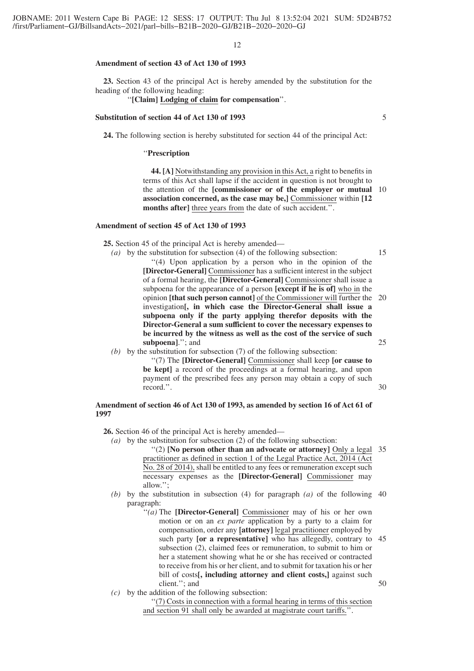#### **Amendment of section 43 of Act 130 of 1993**

**23.** Section 43 of the principal Act is hereby amended by the substitution for the heading of the following heading:

''**[Claim] Lodging of claim for compensation**''.

#### **Substitution of section 44 of Act 130 of 1993**

**24.** The following section is hereby substituted for section 44 of the principal Act:

''**Prescription**

**44. [A]** Notwithstanding any provision in this Act, a right to benefits in terms of this Act shall lapse if the accident in question is not brought to the attention of the **[commissioner or of the employer or mutual** 10 **association concerned, as the case may be,]** Commissioner within **[12 months after]** three years from the date of such accident.''.

#### **Amendment of section 45 of Act 130 of 1993**

**25.** Section 45 of the principal Act is hereby amended—

*(a)* by the substitution for subsection (4) of the following subsection:

15

''(4) Upon application by a person who in the opinion of the **[Director-General]** Commissioner has a sufficient interest in the subject of a formal hearing, the **[Director-General]** Commissioner shall issue a subpoena for the appearance of a person **[except if he is of]** who in the opinion **[that such person cannot]** of the Commissioner will further the 20 investigation**[, in which case the Director-General shall issue a subpoena only if the party applying therefor deposits with the Director-General a sum sufficient to cover the necessary expenses to be incurred by the witness as well as the cost of the service of such subpoena]**.''; and 25

*(b)* by the substitution for subsection (7) of the following subsection:

''(7) The **[Director-General]** Commissioner shall keep **[or cause to** be kept] a record of the proceedings at a formal hearing, and upon payment of the prescribed fees any person may obtain a copy of such record.''.

30

# **Amendment of section 46 of Act 130 of 1993, as amended by section 16 of Act 61 of 1997**

**26.** Section 46 of the principal Act is hereby amended—

- *(a)* by the substitution for subsection (2) of the following subsection: ''(2) **[No person other than an advocate or attorney]** Only a legal 35 practitioner as defined in section 1 of the Legal Practice Act, 2014 (Act No. 28 of 2014), shall be entitled to any fees or remuneration except such necessary expenses as the **[Director-General]** Commissioner may allow.'';
- *(b)* by the substitution in subsection (4) for paragraph *(a)* of the following 40 paragraph:
	- ''*(a)* The **[Director-General]** Commissioner may of his or her own motion or on an *ex parte* application by a party to a claim for compensation, order any **[attorney]** legal practitioner employed by such party **[or a representative]** who has allegedly, contrary to 45 subsection (2), claimed fees or remuneration, to submit to him or her a statement showing what he or she has received or contracted to receive from his or her client, and to submit for taxation his or her bill of costs**[, including attorney and client costs,]** against such client.''; and 50
- *(c)* by the addition of the following subsection:

''(7) Costs in connection with a formal hearing in terms of this section and section 91 shall only be awarded at magistrate court tariffs.''.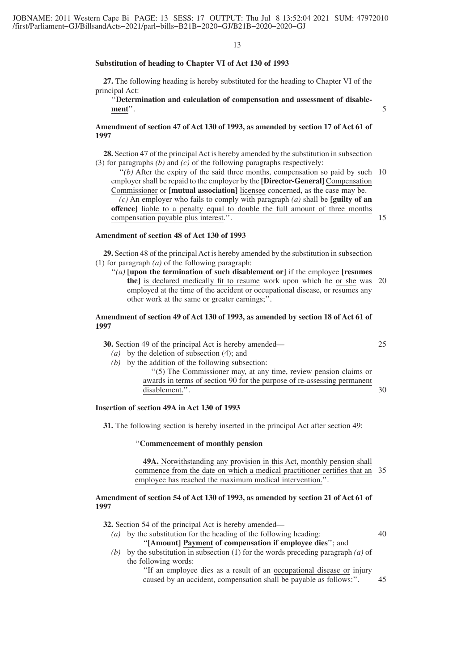#### **Substitution of heading to Chapter VI of Act 130 of 1993**

**27.** The following heading is hereby substituted for the heading to Chapter VI of the principal Act:

''**Determination and calculation of compensation and assessment of disablement**''.

# **Amendment of section 47 of Act 130 of 1993, as amended by section 17 of Act 61 of 1997**

**28.** Section 47 of the principal Act is hereby amended by the substitution in subsection (3) for paragraphs *(b)* and *(c)* of the following paragraphs respectively:

 $''(b)$  After the expiry of the said three months, compensation so paid by such 10 employer shall be repaid to the employer by the **[Director-General]** Compensation Commissioner or **[mutual association]** licensee concerned, as the case may be. *(c)* An employer who fails to comply with paragraph *(a)* shall be **[guilty of an offence]** liable to a penalty equal to double the full amount of three months compensation payable plus interest.''. 15

# **Amendment of section 48 of Act 130 of 1993**

**29.** Section 48 of the principal Act is hereby amended by the substitution in subsection (1) for paragraph *(a)* of the following paragraph:

''*(a)* **[upon the termination of such disablement or]** if the employee **[resumes the]** is declared medically fit to resume work upon which he or she was 20 employed at the time of the accident or occupational disease, or resumes any other work at the same or greater earnings;''.

# **Amendment of section 49 of Act 130 of 1993, as amended by section 18 of Act 61 of 1997**

|  |  | <b>30.</b> Section 49 of the principal Act is hereby amended— |  |  |  |
|--|--|---------------------------------------------------------------|--|--|--|
|--|--|---------------------------------------------------------------|--|--|--|

- *(a)* by the deletion of subsection (4); and
- *(b)* by the addition of the following subsection:

''(5) The Commissioner may, at any time, review pension claims or awards in terms of section 90 for the purpose of re-assessing permanent disablement.''. 30

# **Insertion of section 49A in Act 130 of 1993**

**31.** The following section is hereby inserted in the principal Act after section 49:

#### ''**Commencement of monthly pension**

**49A.** Notwithstanding any provision in this Act, monthly pension shall commence from the date on which a medical practitioner certifies that an 35 employee has reached the maximum medical intervention.''.

#### **Amendment of section 54 of Act 130 of 1993, as amended by section 21 of Act 61 of 1997**

**32.** Section 54 of the principal Act is hereby amended—

- *(a)* by the substitution for the heading of the following heading: ''**[Amount] Payment of compensation if employee dies**''; and
- *(b)* by the substitution in subsection (1) for the words preceding paragraph *(a)* of the following words:
	- ''If an employee dies as a result of an occupational disease or injury caused by an accident, compensation shall be payable as follows:''. 45

25

40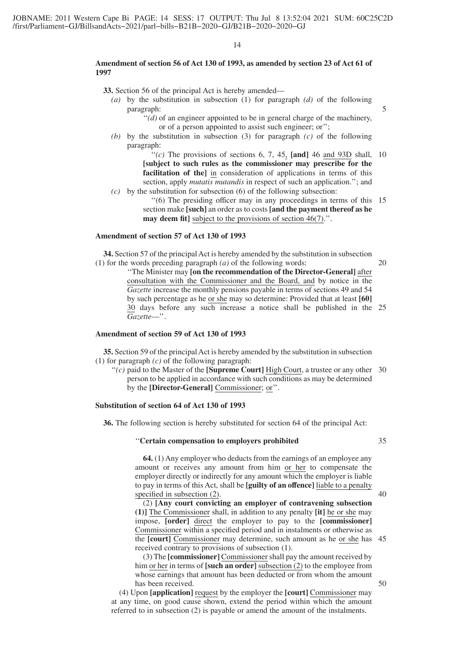#### **Amendment of section 56 of Act 130 of 1993, as amended by section 23 of Act 61 of 1997**

**33.** Section 56 of the principal Act is hereby amended—

- *(a)* by the substitution in subsection (1) for paragraph *(d)* of the following paragraph:
	- $''(d)$  of an engineer appointed to be in general charge of the machinery, or of a person appointed to assist such engineer; or'';
- *(b)* by the substitution in subsection (3) for paragraph *(c)* of the following paragraph:

" $(c)$  The provisions of sections 6, 7, 45, [and] 46 and 93D shall, 10 **[subject to such rules as the commissioner may prescribe for the facilitation of the]** in consideration of applications in terms of this section, apply *mutatis mutandis* in respect of such an application.''; and

*(c)* by the substitution for subsection (6) of the following subsection:

''(6) The presiding officer may in any proceedings in terms of this 15 section make **[such]** an order as to costs **[and the payment thereof as he may deem fit]** subject to the provisions of section 46(7).".

### **Amendment of section 57 of Act 130 of 1993**

**34.** Section 57 of the principal Act is hereby amended by the substitution in subsection (1) for the words preceding paragraph *(a)* of the following words: 20

> ''The Minister may **[on the recommendation of the Director-General]** after consultation with the Commissioner and the Board, and by notice in the *Gazette* increase the monthly pensions payable in terms of sections 49 and 54 by such percentage as he or she may so determine: Provided that at least **[60]** 30 days before any such increase a notice shall be published in the 25 *Gazette*—''.

#### **Amendment of section 59 of Act 130 of 1993**

**35.** Section 59 of the principal Act is hereby amended by the substitution in subsection (1) for paragraph *(c)* of the following paragraph:

 $''(c)$  paid to the Master of the **[Supreme Court]** High Court, a trustee or any other 30 person to be applied in accordance with such conditions as may be determined by the **[Director-General]** Commissioner; or''.

# **Substitution of section 64 of Act 130 of 1993**

**36.** The following section is hereby substituted for section 64 of the principal Act:

# ''**Certain compensation to employers prohibited**

**64.** (1) Any employer who deducts from the earnings of an employee any amount or receives any amount from him or her to compensate the employer directly or indirectly for any amount which the employer is liable to pay in terms of this Act, shall be **[guilty of an offence]** liable to a penalty specified in subsection (2).

(2) **[Any court convicting an employer of contravening subsection (1)]** The Commissioner shall, in addition to any penalty **[it]** he or she may impose, **[order]** direct the employer to pay to the **[commissioner]** Commissioner within a specified period and in instalments or otherwise as the **[court]** Commissioner may determine, such amount as he or she has 45 received contrary to provisions of subsection (1).

(3) The **[commissioner]** Commissioner shall pay the amount received by him or her in terms of **[such an order]** subsection (2) to the employee from whose earnings that amount has been deducted or from whom the amount has been received.

(4) Upon **[application]** request by the employer the **[court]** Commissioner may at any time, on good cause shown, extend the period within which the amount referred to in subsection (2) is payable or amend the amount of the instalments.

35

5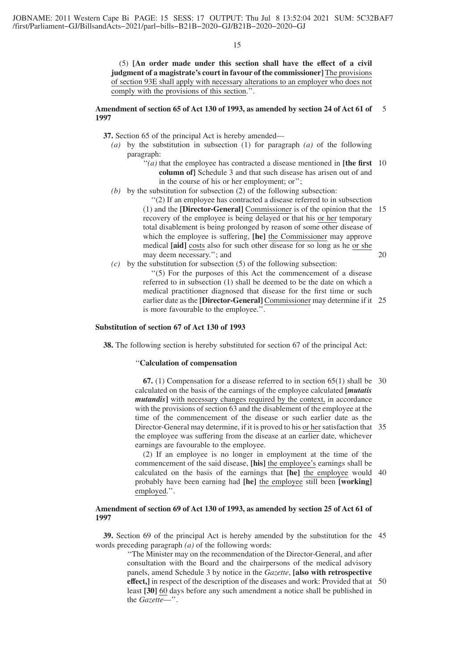(5) **[An order made under this section shall have the effect of a civil judgment of a magistrate's court in favour of the commissioner]** The provisions of section 93E shall apply with necessary alterations to an employer who does not comply with the provisions of this section.''.

# **Amendment of section 65 of Act 130 of 1993, as amended by section 24 of Act 61 of** 5 **1997**

- **37.** Section 65 of the principal Act is hereby amended—
	- *(a)* by the substitution in subsection (1) for paragraph *(a)* of the following paragraph:
		- ''*(a)* that the employee has contracted a disease mentioned in **[the first** 10 **column of]** Schedule 3 and that such disease has arisen out of and in the course of his or her employment; or'';
	- *(b)* by the substitution for subsection (2) of the following subsection:

''(2) If an employee has contracted a disease referred to in subsection (1) and the **[Director-General]** Commissioner is of the opinion that the 15 recovery of the employee is being delayed or that his or her temporary total disablement is being prolonged by reason of some other disease of which the employee is suffering, **[he]** the Commissioner may approve medical **[aid]** costs also for such other disease for so long as he or she may deem necessary.''; and

- 20
- *(c)* by the substitution for subsection (5) of the following subsection: ''(5) For the purposes of this Act the commencement of a disease referred to in subsection (1) shall be deemed to be the date on which a medical practitioner diagnosed that disease for the first time or such earlier date as the **[Director-General]** Commissioner may determine if it 25 is more favourable to the employee.''.

# **Substitution of section 67 of Act 130 of 1993**

**38.** The following section is hereby substituted for section 67 of the principal Act:

# ''**Calculation of compensation**

**67.** (1) Compensation for a disease referred to in section 65(1) shall be 30 calculated on the basis of the earnings of the employee calculated **[***mutatis mutandis* with necessary changes required by the context, in accordance with the provisions of section 63 and the disablement of the employee at the time of the commencement of the disease or such earlier date as the Director-General may determine, if it is proved to his or her satisfaction that 35 the employee was suffering from the disease at an earlier date, whichever earnings are favourable to the employee.

(2) If an employee is no longer in employment at the time of the commencement of the said disease, **[his]** the employee's earnings shall be calculated on the basis of the earnings that **[he]** the employee would 40 probably have been earning had **[he]** the employee still been **[working]** employed.''.

# **Amendment of section 69 of Act 130 of 1993, as amended by section 25 of Act 61 of 1997**

**39.** Section 69 of the principal Act is hereby amended by the substitution for the 45 words preceding paragraph *(a)* of the following words:

> ''The Minister may on the recommendation of the Director-General, and after consultation with the Board and the chairpersons of the medical advisory panels, amend Schedule 3 by notice in the *Gazette*, **[also with retrospective effect,]** in respect of the description of the diseases and work: Provided that at 50least **[30]** 60 days before any such amendment a notice shall be published in the *Gazette*—''.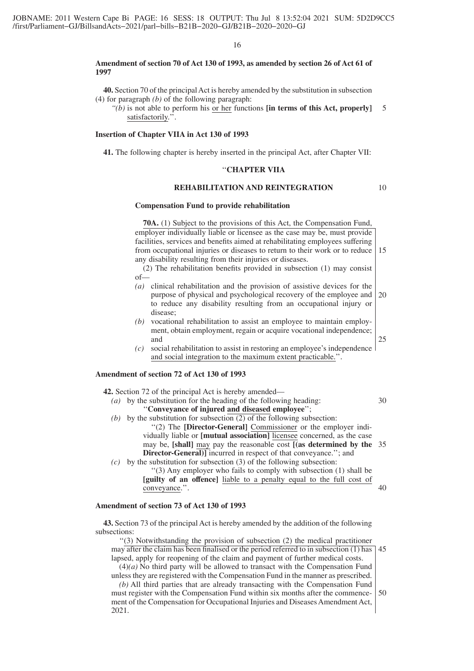#### **Amendment of section 70 of Act 130 of 1993, as amended by section 26 of Act 61 of 1997**

**40.** Section 70 of the principal Act is hereby amended by the substitution in subsection (4) for paragraph *(b)* of the following paragraph:

*''(b)* is not able to perform his or her functions **[in terms of this Act, properly]** satisfactorily.". 5

# **Insertion of Chapter VIIA in Act 130 of 1993**

**41.** The following chapter is hereby inserted in the principal Act, after Chapter VII:

# ''**CHAPTER VIIA**

# **REHABILITATION AND REINTEGRATION**

#### **Compensation Fund to provide rehabilitation**

**70A.** (1) Subject to the provisions of this Act, the Compensation Fund, employer individually liable or licensee as the case may be, must provide facilities, services and benefits aimed at rehabilitating employees suffering from occupational injuries or diseases to return to their work or to reduce any disability resulting from their injuries or diseases. 15

(2) The rehabilitation benefits provided in subsection (1) may consist of—

- *(a)* clinical rehabilitation and the provision of assistive devices for the purpose of physical and psychological recovery of the employee and to reduce any disability resulting from an occupational injury or disease; 20
- *(b)* vocational rehabilitation to assist an employee to maintain employment, obtain employment, regain or acquire vocational independence; and
- *(c)* social rehabilitation to assist in restoring an employee's independence and social integration to the maximum extent practicable.''.

# **Amendment of section 72 of Act 130 of 1993**

**42.** Section 72 of the principal Act is hereby amended— *(a)* by the substitution for the heading of the following heading: ''**Conveyance of injured and diseased employee**''; *(b)* by the substitution for subsection (2) of the following subsection: ''(2) The **[Director-General]** Commissioner or the employer individually liable or **[mutual association]** licensee concerned, as the case may be, **[shall]** may pay the reasonable cost **[(as determined by the** 35 **Director-General)**] incurred in respect of that conveyance."; and *(c)* by the substitution for subsection (3) of the following subsection: ''(3) Any employer who fails to comply with subsection (1) shall be **[guilty of an offence]** liable to a penalty equal to the full cost of conveyance.''. 30  $40$ 

# **Amendment of section 73 of Act 130 of 1993**

**43.** Section 73 of the principal Act is hereby amended by the addition of the following subsections:

''(3) Notwithstanding the provision of subsection (2) the medical practitioner may after the claim has been finalised or the period referred to in subsection (1) has lapsed, apply for reopening of the claim and payment of further medical costs.  $(4)(a)$  No third party will be allowed to transact with the Compensation Fund 45

unless they are registered with the Compensation Fund in the manner as prescribed.

*(b)* All third parties that are already transacting with the Compensation Fund must register with the Compensation Fund within six months after the commencement of the Compensation for Occupational Injuries and Diseases Amendment Act, 2021. 50

10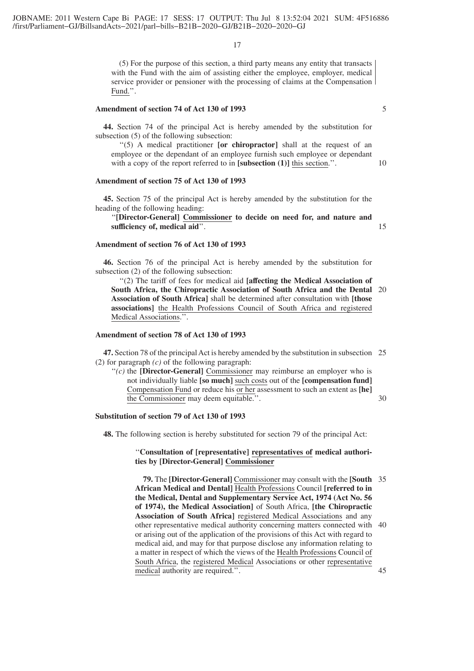(5) For the purpose of this section, a third party means any entity that transacts with the Fund with the aim of assisting either the employee, employer, medical service provider or pensioner with the processing of claims at the Compensation Fund.''.

# **Amendment of section 74 of Act 130 of 1993**

**44.** Section 74 of the principal Act is hereby amended by the substitution for subsection (5) of the following subsection:

''(5) A medical practitioner **[or chiropractor]** shall at the request of an employee or the dependant of an employee furnish such employee or dependant with a copy of the report referred to in **[subsection (1)]** this section.".

# **Amendment of section 75 of Act 130 of 1993**

**45.** Section 75 of the principal Act is hereby amended by the substitution for the heading of the following heading:

''**[Director-General] Commissioner to decide on need for, and nature and sufficiency of, medical aid**''.

#### **Amendment of section 76 of Act 130 of 1993**

**46.** Section 76 of the principal Act is hereby amended by the substitution for subsection (2) of the following subsection:

''(2) The tariff of fees for medical aid **[affecting the Medical Association of South Africa, the Chiropractic Association of South Africa and the Dental** 20 **Association of South Africa]** shall be determined after consultation with **[those associations]** the Health Professions Council of South Africa and registered Medical Associations.''.

#### **Amendment of section 78 of Act 130 of 1993**

**47.** Section 78 of the principal Act is hereby amended by the substitution in subsection 25 (2) for paragraph *(c)* of the following paragraph:

 $f'(c)$  the **[Director-General]** Commissioner may reimburse an employer who is not individually liable **[so much]** such costs out of the **[compensation fund]** Compensation Fund or reduce his or her assessment to such an extent as **[he]** the Commissioner may deem equitable.''.

30

#### **Substitution of section 79 of Act 130 of 1993**

**48.** The following section is hereby substituted for section 79 of the principal Act:

# ''**Consultation of [representative] representatives of medical authorities by [Director-General] Commissioner**

**79.** The **[Director-General]** Commissioner may consult with the **[South** 35 **African Medical and Dental]** Health Professions Council **[referred to in the Medical, Dental and Supplementary Service Act, 1974 (Act No. 56 of 1974), the Medical Association]** of South Africa, **[the Chiropractic Association of South Africa]** registered Medical Associations and any other representative medical authority concerning matters connected with 40 or arising out of the application of the provisions of this Act with regard to medical aid, and may for that purpose disclose any information relating to a matter in respect of which the views of the Health Professions Council of South Africa, the registered Medical Associations or other representative medical authority are required.''. 45

5

10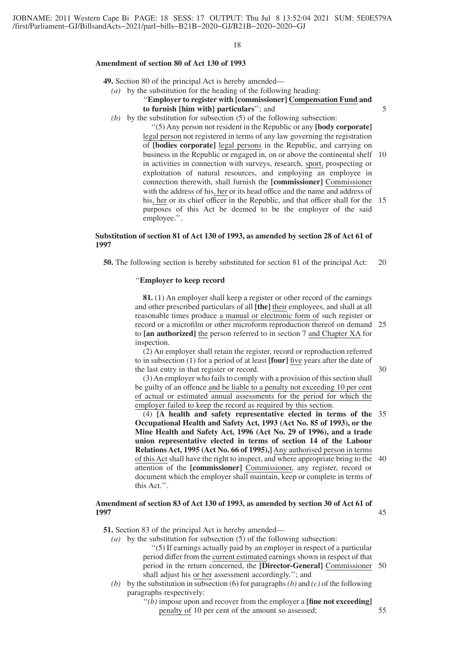#### **Amendment of section 80 of Act 130 of 1993**

**49.** Section 80 of the principal Act is hereby amended—

- *(a)* by the substitution for the heading of the following heading: ''**Employer to register with [commissioner] Compensation Fund and to furnish [him with] particulars**''; and
- *(b)* by the substitution for subsection (5) of the following subsection:

''(5) Any person not resident in the Republic or any **[body corporate]** legal person not registered in terms of any law governing the registration of **[bodies corporate]** legal persons in the Republic, and carrying on business in the Republic or engaged in, on or above the continental shelf 10 in activities in connection with surveys, research, sport, prospecting or exploitation of natural resources, and employing an employee in connection therewith, shall furnish the **[commissioner]** Commissioner with the address of his, her or its head office and the name and address of his, her or its chief officer in the Republic, and that officer shall for the 15 purposes of this Act be deemed to be the employer of the said employee.''.

# **Substitution of section 81 of Act 130 of 1993, as amended by section 28 of Act 61 of 1997**

**50.** The following section is hereby substituted for section 81 of the principal Act: 20

#### ''**Employer to keep record**

**81.** (1) An employer shall keep a register or other record of the earnings and other prescribed particulars of all **[the]** their employees, and shall at all reasonable times produce a manual or electronic form of such register or record or a microfilm or other microform reproduction thereof on demand 25 to **[an authorized]** the person referred to in section 7 and Chapter XA for inspection.

(2) An employer shall retain the register, record or reproduction referred to in subsection (1) for a period of at least **[four]** five years after the date of the last entry in that register or record.

(3) An employer who fails to comply with a provision of this section shall be guilty of an offence and be liable to a penalty not exceeding 10 per cent of actual or estimated annual assessments for the period for which the employer failed to keep the record as required by this section.

(4) **[A health and safety representative elected in terms of the** 35 **Occupational Health and Safety Act, 1993 (Act No. 85 of 1993), or the Mine Health and Safety Act, 1996 (Act No. 29 of 1996), and a trade union representative elected in terms of section 14 of the Labour Relations Act, 1995 (Act No. 66 of 1995),]** Any authorised person in terms of this Act shall have the right to inspect, and where appropriate bring to the 40 attention of the **[commissioner]** Commissioner, any register, record or document which the employer shall maintain, keep or complete in terms of this Act.''.

#### **Amendment of section 83 of Act 130 of 1993, as amended by section 30 of Act 61 of 1997** 45

**51.** Section 83 of the principal Act is hereby amended—

- *(a)* by the substitution for subsection (5) of the following subsection: ''(5) If earnings actually paid by an employer in respect of a particular period differ from the current estimated earnings shown in respect of that period in the return concerned, the **[Director-General]** Commissioner 50 shall adjust his or her assessment accordingly.''; and
- *(b)* by the substitution in subsection (6) for paragraphs*(b)* and *(c)* of the following paragraphs respectively:
	- ''*(b)* impose upon and recover from the employer a **[fine not exceeding]** penalty of 10 per cent of the amount so assessed; 55

30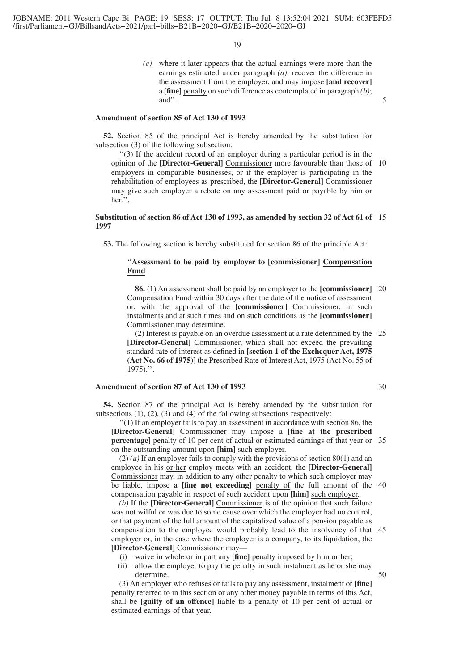*(c)* where it later appears that the actual earnings were more than the earnings estimated under paragraph *(a)*, recover the difference in the assessment from the employer, and may impose **[and recover]** a **[fine]** penalty on such difference as contemplated in paragraph *(b)*; and''.

#### **Amendment of section 85 of Act 130 of 1993**

**52.** Section 85 of the principal Act is hereby amended by the substitution for subsection (3) of the following subsection:

''(3) If the accident record of an employer during a particular period is in the opinion of the **[Director-General]** Commissioner more favourable than those of 10 employers in comparable businesses, or if the employer is participating in the rehabilitation of employees as prescribed, the **[Director-General]** Commissioner may give such employer a rebate on any assessment paid or payable by him or her.''.

#### **Substitution of section 86 of Act 130 of 1993, as amended by section 32 of Act 61 of** 15 **1997**

**53.** The following section is hereby substituted for section 86 of the principle Act:

# ''**Assessment to be paid by employer to [commissioner] Compensation Fund**

**86.** (1) An assessment shall be paid by an employer to the **[commissioner]** 20 Compensation Fund within 30 days after the date of the notice of assessment or, with the approval of the **[commissioner]** Commissioner, in such instalments and at such times and on such conditions as the **[commissioner]** Commissioner may determine.

(2) Interest is payable on an overdue assessment at a rate determined by the 25 **[Director-General]** Commissioner, which shall not exceed the prevailing standard rate of interest as defined in **[section 1 of the Exchequer Act, 1975 (Act No. 66 of 1975)]** the Prescribed Rate of Interest Act, 1975 (Act No. 55 of 1975).''.

# **Amendment of section 87 of Act 130 of 1993**

**54.** Section 87 of the principal Act is hereby amended by the substitution for subsections  $(1)$ ,  $(2)$ ,  $(3)$  and  $(4)$  of the following subsections respectively:

''(1) If an employer fails to pay an assessment in accordance with section 86, the **[Director-General]** Commissioner may impose a **[fine at the prescribed percentage]** penalty of 10 per cent of actual or estimated earnings of that year or 35 on the outstanding amount upon **[him]** such employer.

(2) *(a)* If an employer fails to comply with the provisions of section 80(1) and an employee in his or her employ meets with an accident, the **[Director-General]** Commissioner may, in addition to any other penalty to which such employer may be liable, impose a **[fine not exceeding]** penalty of the full amount of the 40 compensation payable in respect of such accident upon **[him]** such employer.

*(b)* If the **[Director-General]** Commissioner is of the opinion that such failure was not wilful or was due to some cause over which the employer had no control, or that payment of the full amount of the capitalized value of a pension payable as compensation to the employee would probably lead to the insolvency of that 45 employer or, in the case where the employer is a company, to its liquidation, the **[Director-General]** Commissioner may—

- (i) waive in whole or in part any **[fine]** penalty imposed by him or her;
- (ii) allow the employer to pay the penalty in such instalment as he or she may determine.

(3) An employer who refuses or fails to pay any assessment, instalment or **[fine]** penalty referred to in this section or any other money payable in terms of this Act, shall be **[guilty of an offence]** liable to a penalty of 10 per cent of actual or estimated earnings of that year.

30

50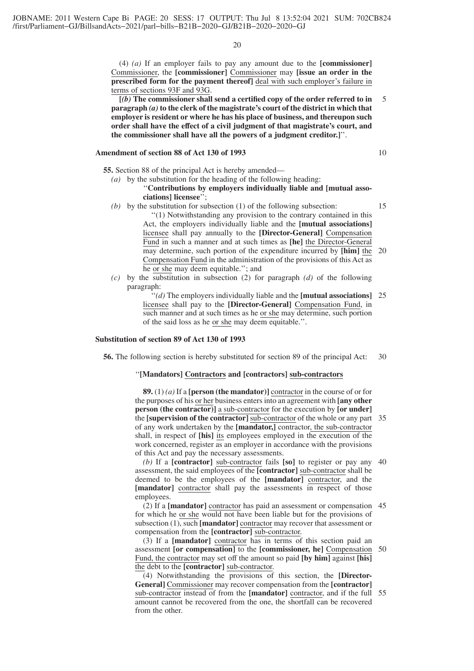(4) *(a)* If an employer fails to pay any amount due to the **[commissioner]** Commissioner, the **[commissioner]** Commissioner may **[issue an order in the prescribed form for the payment thereof]** deal with such employer's failure in terms of sections 93F and 93G.

**[***(b)* **The commissioner shall send a certified copy of the order referred to in paragraph** *(a)* **to the clerk of the magistrate's court of the district in which that employer is resident or where he has his place of business, and thereupon such order shall have the effect of a civil judgment of that magistrate's court, and the commissioner shall have all the powers of a judgment creditor.]**''. 5

# **Amendment of section 88 of Act 130 of 1993**

**55.** Section 88 of the principal Act is hereby amended—

# *(a)* by the substitution for the heading of the following heading:

# ''**Contributions by employers individually liable and [mutual associations] licensee**'';

10

- *(b)* by the substitution for subsection (1) of the following subsection: ''(1) Notwithstanding any provision to the contrary contained in this Act, the employers individually liable and the **[mutual associations]** licensee shall pay annually to the **[Director-General]** Compensation Fund in such a manner and at such times as **[he]** the Director-General may determine, such portion of the expenditure incurred by **[him]** the Compensation Fund in the administration of the provisions of this Act as he or she may deem equitable.''; and 15 20
- *(c)* by the substitution in subsection (2) for paragraph *(d)* of the following paragraph:
	- ''*(d)* The employers individually liable and the **[mutual associations]** 25 licensee shall pay to the **[Director-General]** Compensation Fund, in such manner and at such times as he or she may determine, such portion of the said loss as he or she may deem equitable.''.

#### **Substitution of section 89 of Act 130 of 1993**

**56.** The following section is hereby substituted for section 89 of the principal Act: 30

#### ''**[Mandators] Contractors and [contractors] sub-contractors**

**89.** (1) *(a)* If a **[person (the mandator)]** contractor in the course of or for the purposes of his or her business enters into an agreement with **[any other person (the contractor)]** a sub-contractor for the execution by **[or under]** the **[supervision of the contractor]** sub-contractor of the whole or any part 35 of any work undertaken by the **[mandator,]** contractor, the sub-contractor shall, in respect of **[his]** its employees employed in the execution of the work concerned, register as an employer in accordance with the provisions of this Act and pay the necessary assessments.

*(b)* If a **[contractor]** sub-contractor fails **[so]** to register or pay any 40 assessment, the said employees of the **[contractor]** sub-contractor shall be deemed to be the employees of the **[mandator]** contractor, and the [**mandator**] contractor shall pay the assessments in respect of those employees.

(2) If a **[mandator]** contractor has paid an assessment or compensation 45 for which he or she would not have been liable but for the provisions of subsection (1), such **[mandator]** contractor may recover that assessment or compensation from the **[contractor]** sub-contractor.

(3) If a **[mandator]** contractor has in terms of this section paid an assessment **[or compensation]** to the **[commissioner, he]** Compensation Fund, the contractor may set off the amount so paid **[by him]** against **[his]** the debt to the **[contractor]** sub-contractor. 50

(4) Notwithstanding the provisions of this section, the **[Director-General]** Commissioner may recover compensation from the **[contractor]** sub-contractor instead of from the **[mandator]** contractor, and if the full 55amount cannot be recovered from the one, the shortfall can be recovered from the other.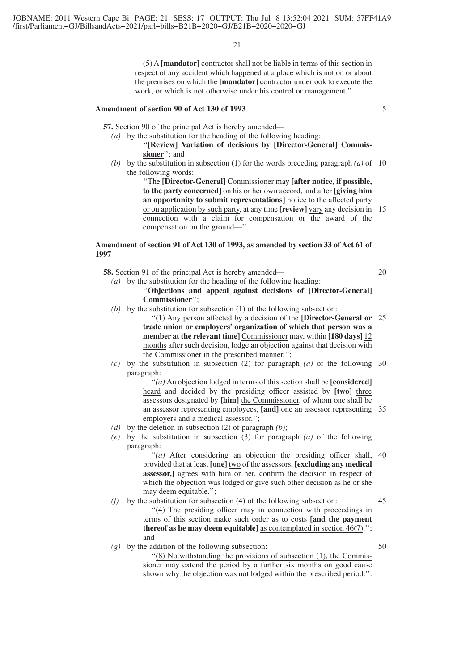(5) A **[mandator]** contractor shall not be liable in terms of this section in respect of any accident which happened at a place which is not on or about the premises on which the **[mandator]** contractor undertook to execute the work, or which is not otherwise under his control or management.''.

# **Amendment of section 90 of Act 130 of 1993**

**57.** Section 90 of the principal Act is hereby amended—

- *(a)* by the substitution for the heading of the following heading: ''**[Review] Variation of decisions by [Director-General] Commissioner**''; and
- (b) by the substitution in subsection (1) for the words preceding paragraph  $(a)$  of 10 the following words:

''The **[Director-General]** Commissioner may **[after notice, if possible, to the party concerned]** on his or her own accord, and after **[giving him an opportunity to submit representations]** notice to the affected party or on application by such party, at any time **[review]** vary any decision in 15 connection with a claim for compensation or the award of the compensation on the ground—''.

#### **Amendment of section 91 of Act 130 of 1993, as amended by section 33 of Act 61 of 1997**

**58.** Section 91 of the principal Act is hereby amended—

*(a)* by the substitution for the heading of the following heading:

''**Objections and appeal against decisions of [Director-General] Commissioner**'';

(b) by the substitution for subsection (1) of the following subsection:

''(1) Any person affected by a decision of the **[Director-General or** 25 **trade union or employers' organization of which that person was a member at the relevant time]** Commissioner may, within **[180 days]** 12 months after such decision, lodge an objection against that decision with the Commissioner in the prescribed manner.'';

*(c)* by the substitution in subsection (2) for paragraph *(a)* of the following 30 paragraph:

> ''*(a)* An objection lodged in terms of this section shall be **[considered]** heard and decided by the presiding officer assisted by **[two]** three assessors designated by **[him]** the Commissioner, of whom one shall be an assessor representing employees, **[and]** one an assessor representing 35 employers and a medical assessor.'';

- *(d)* by the deletion in subsection (2) of paragraph *(b)*;
- *(e)* by the substitution in subsection (3) for paragraph *(a)* of the following paragraph:

''*(a)* After considering an objection the presiding officer shall, provided that at least **[one]** two of the assessors, **[excluding any medical assessor,]** agrees with him or her, confirm the decision in respect of which the objection was lodged or give such other decision as he or she may deem equitable.''; 40

- *(f)* by the substitution for subsection (4) of the following subsection: ''(4) The presiding officer may in connection with proceedings in terms of this section make such order as to costs **[and the payment thereof as he may deem equitable** as contemplated in section 46(7)."; and 45
- *(g)* by the addition of the following subsection:

50

''(8) Notwithstanding the provisions of subsection (1), the Commissioner may extend the period by a further six months on good cause shown why the objection was not lodged within the prescribed period.''.

5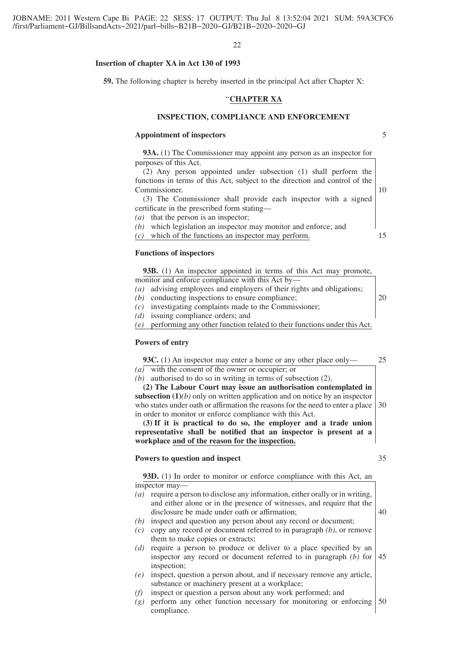#### **Insertion of chapter XA in Act 130 of 1993**

**59.** The following chapter is hereby inserted in the principal Act after Chapter X:

# ''**CHAPTER XA**

# **INSPECTION, COMPLIANCE AND ENFORCEMENT**

#### **Appointment of inspectors**

**93A.** (1) The Commissioner may appoint any person as an inspector for purposes of this Act.

(2) Any person appointed under subsection (1) shall perform the functions in terms of this Act, subject to the direction and control of the Commissioner.

(3) The Commissioner shall provide each inspector with a signed certificate in the prescribed form stating—

*(a)* that the person is an inspector;

*(b)* which legislation an inspector may monitor and enforce; and *(c)* which of the functions an inspector may perform.

15

5

10

# **Functions of inspectors**

| <b>93B.</b> (1) An inspector appointed in terms of this Act may promote, |    |
|--------------------------------------------------------------------------|----|
| monitor and enforce compliance with this Act by—                         |    |
| (a) advising employees and employers of their rights and obligations;    |    |
| $(b)$ conducting inspections to ensure compliance;                       | 20 |

- *(c)* investigating complaints made to the Commissioner;
- *(d)* issuing compliance orders; and
- *(e)* performing any other function related to their functions under this Act.

#### **Powers of entry**

**93C.** (1) An inspector may enter a home or any other place only— *(a)* with the consent of the owner or occupier; or 25

*(b)* authorised to do so in writing in terms of subsection (2).

**(2) The Labour Court may issue an authorisation contemplated in subsection (1)***(b)* only on written application and on notice by an inspector who states under oath or affirmation the reasons for the need to enter a place in order to monitor or enforce compliance with this Act. 30

**(3) If it is practical to do so, the employer and a trade union representative shall be notified that an inspector is present at a workplace and of the reason for the inspection.**

#### **Powers to question and inspect**

**93D.** (1) In order to monitor or enforce compliance with this Act, an inspector may—

- *(a)* require a person to disclose any information, either orally or in writing, and either alone or in the presence of witnesses, and require that the disclosure be made under oath or affirmation; *(b)* inspect and question any person about any record or document; *(c)* copy any record or document referred to in paragraph *(b)*, or remove them to make copies or extracts; 40
- *(d)* require a person to produce or deliver to a place specified by an inspector any record or document referred to in paragraph *(b)* for inspection; 45
- *(e)* inspect, question a person about, and if necessary remove any article, substance or machinery present at a workplace;
- *(f)* inspect or question a person about any work performed; and
- *(g)* perform any other function necessary for monitoring or enforcing compliance. 50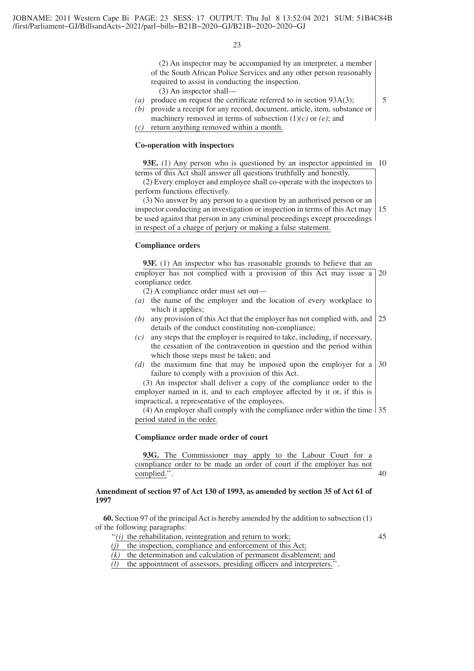(2) An inspector may be accompanied by an interpreter, a member of the South African Police Services and any other person reasonably required to assist in conducting the inspection.

(3) An inspector shall—

- *(a)* produce on request the certificate referred to in section 93A(3);
- *(b)* provide a receipt for any record, document, article, item, substance or machinery removed in terms of subsection (1)*(c)* or *(e)*; and

*(c)* return anything removed within a month.

# **Co-operation with inspectors**

**93E.** (1) Any person who is questioned by an inspector appointed in 10 terms of this Act shall answer all questions truthfully and honestly.

(2) Every employer and employee shall co-operate with the inspectors to perform functions effectively.

(3) No answer by any person to a question by an authorised person or an inspector conducting an investigation or inspection in terms of this Act may be used against that person in any criminal proceedings except proceedings in respect of a charge of perjury or making a false statement. 15

#### **Compliance orders**

**93F.** (1) An inspector who has reasonable grounds to believe that an employer has not complied with a provision of this Act may issue a 20 compliance order.

- (2) A compliance order must set out—
- *(a)* the name of the employer and the location of every workplace to which it applies;
- *(b)* any provision of this Act that the employer has not complied with, and details of the conduct constituting non-compliance; 25
- *(c)* any steps that the employer is required to take, including, if necessary, the cessation of the contravention in question and the period within which those steps must be taken; and
- *(d)* the maximum fine that may be imposed upon the employer for a failure to comply with a provision of this Act. 30

(3) An inspector shall deliver a copy of the compliance order to the employer named in it, and to each employee affected by it or, if this is impractical, a representative of the employees.

(4) An employer shall comply with the compliance order within the time 35 period stated in the order.

#### **Compliance order made order of court**

**93G.** The Commissioner may apply to the Labour Court for a compliance order to be made an order of court if the employer has not complied.''.

# **Amendment of section 97 of Act 130 of 1993, as amended by section 35 of Act 61 of 1997**

**60.** Section 97 of the principal Act is hereby amended by the addition to subsection (1) of the following paragraphs:

"(i) the rehabilitation, reintegration and return to work;

45

40

5

*(j)* the inspection, compliance and enforcement of this Act;

 $\overline{(k)}$  the determination and calculation of permanent disablement; and

*(l)* the appointment of assessors, presiding officers and interpreters.''.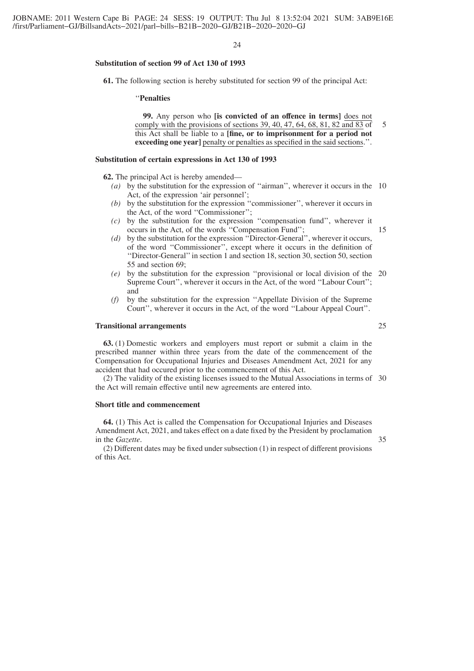# **Substitution of section 99 of Act 130 of 1993**

**61.** The following section is hereby substituted for section 99 of the principal Act:

#### ''**Penalties**

**99.** Any person who **[is convicted of an offence in terms]** does not comply with the provisions of sections 39, 40, 47, 64, 68, 81, 82 and 83 of this Act shall be liable to a **[fine, or to imprisonment for a period not exceeding one year]** penalty or penalties as specified in the said sections.". 5

#### **Substitution of certain expressions in Act 130 of 1993**

**62.** The principal Act is hereby amended—

- *(a)* by the substitution for the expression of ''airman'', wherever it occurs in the 10 Act, of the expression 'air personnel';
- *(b)* by the substitution for the expression ''commissioner'', wherever it occurs in the Act, of the word ''Commissioner'';
- *(c)* by the substitution for the expression ''compensation fund'', wherever it occurs in the Act, of the words ''Compensation Fund'';
- *(d)* by the substitution for the expression ''Director-General'', wherever it occurs, of the word ''Commissioner'', except where it occurs in the definition of ''Director-General''in section 1 and section 18, section 30, section 50, section 55 and section 69;
- *(e)* by the substitution for the expression ''provisional or local division of the 20 Supreme Court'', wherever it occurs in the Act, of the word ''Labour Court''; and
- *(f)* by the substitution for the expression ''Appellate Division of the Supreme Court'', wherever it occurs in the Act, of the word ''Labour Appeal Court''.

#### **Transitional arrangements**

**63.** (1) Domestic workers and employers must report or submit a claim in the prescribed manner within three years from the date of the commencement of the Compensation for Occupational Injuries and Diseases Amendment Act, 2021 for any accident that had occured prior to the commencement of this Act.

(2) The validity of the existing licenses issued to the Mutual Associations in terms of 30 the Act will remain effective until new agreements are entered into.

#### **Short title and commencement**

**64.** (1) This Act is called the Compensation for Occupational Injuries and Diseases Amendment Act, 2021, and takes effect on a date fixed by the President by proclamation in the *Gazette*.

(2) Different dates may be fixed under subsection (1) in respect of different provisions of this Act.

35

15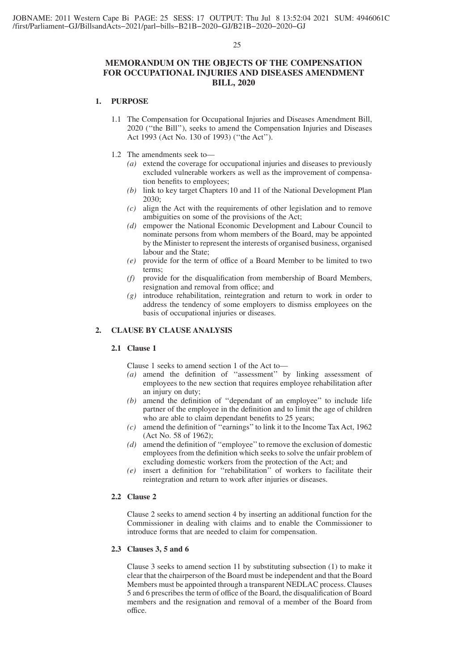# **MEMORANDUM ON THE OBJECTS OF THE COMPENSATION FOR OCCUPATIONAL INJURIES AND DISEASES AMENDMENT BILL, 2020**

# **1. PURPOSE**

- 1.1 The Compensation for Occupational Injuries and Diseases Amendment Bill, 2020 (''the Bill''), seeks to amend the Compensation Injuries and Diseases Act 1993 (Act No. 130 of 1993) (''the Act'').
- 1.2 The amendments seek to—
	- *(a)* extend the coverage for occupational injuries and diseases to previously excluded vulnerable workers as well as the improvement of compensation benefits to employees;
	- *(b)* link to key target Chapters 10 and 11 of the National Development Plan 2030;
	- *(c)* align the Act with the requirements of other legislation and to remove ambiguities on some of the provisions of the Act;
	- *(d)* empower the National Economic Development and Labour Council to nominate persons from whom members of the Board, may be appointed by the Minister to represent the interests of organised business, organised labour and the State;
	- *(e)* provide for the term of office of a Board Member to be limited to two terms;
	- *(f)* provide for the disqualification from membership of Board Members, resignation and removal from office; and
	- *(g)* introduce rehabilitation, reintegration and return to work in order to address the tendency of some employers to dismiss employees on the basis of occupational injuries or diseases.

# **2. CLAUSE BY CLAUSE ANALYSIS**

# **2.1 Clause 1**

Clause 1 seeks to amend section 1 of the Act to—

- *(a)* amend the definition of ''assessment'' by linking assessment of employees to the new section that requires employee rehabilitation after an injury on duty;
- *(b)* amend the definition of ''dependant of an employee'' to include life partner of the employee in the definition and to limit the age of children who are able to claim dependant benefits to 25 years;
- *(c)* amend the definition of ''earnings''to link it to the Income Tax Act, 1962 (Act No. 58 of 1962);
- *(d)* amend the definition of ''employee''to remove the exclusion of domestic employees from the definition which seeks to solve the unfair problem of excluding domestic workers from the protection of the Act; and
- *(e)* insert a definition for ''rehabilitation'' of workers to facilitate their reintegration and return to work after injuries or diseases.

#### **2.2 Clause 2**

Clause 2 seeks to amend section 4 by inserting an additional function for the Commissioner in dealing with claims and to enable the Commissioner to introduce forms that are needed to claim for compensation.

#### **2.3 Clauses 3, 5 and 6**

Clause 3 seeks to amend section 11 by substituting subsection (1) to make it clear that the chairperson of the Board must be independent and that the Board Members must be appointed through a transparent NEDLAC process. Clauses 5 and 6 prescribes the term of office of the Board, the disqualification of Board members and the resignation and removal of a member of the Board from office.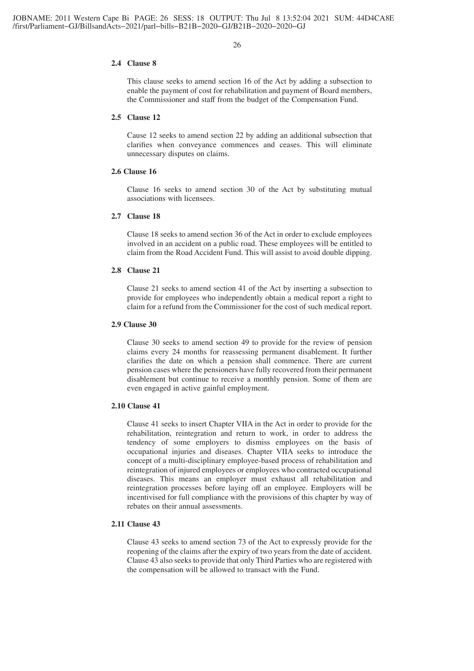#### **2.4 Clause 8**

This clause seeks to amend section 16 of the Act by adding a subsection to enable the payment of cost for rehabilitation and payment of Board members, the Commissioner and staff from the budget of the Compensation Fund.

# **2.5 Clause 12**

Cause 12 seeks to amend section 22 by adding an additional subsection that clarifies when conveyance commences and ceases. This will eliminate unnecessary disputes on claims.

# **2.6 Clause 16**

Clause 16 seeks to amend section 30 of the Act by substituting mutual associations with licensees.

#### **2.7 Clause 18**

Clause 18 seeks to amend section 36 of the Act in order to exclude employees involved in an accident on a public road. These employees will be entitled to claim from the Road Accident Fund. This will assist to avoid double dipping.

### **2.8 Clause 21**

Clause 21 seeks to amend section 41 of the Act by inserting a subsection to provide for employees who independently obtain a medical report a right to claim for a refund from the Commissioner for the cost of such medical report.

#### **2.9 Clause 30**

Clause 30 seeks to amend section 49 to provide for the review of pension claims every 24 months for reassessing permanent disablement. It further clarifies the date on which a pension shall commence. There are current pension cases where the pensioners have fully recovered from their permanent disablement but continue to receive a monthly pension. Some of them are even engaged in active gainful employment.

# **2.10 Clause 41**

Clause 41 seeks to insert Chapter VIIA in the Act in order to provide for the rehabilitation, reintegration and return to work, in order to address the tendency of some employers to dismiss employees on the basis of occupational injuries and diseases. Chapter VIIA seeks to introduce the concept of a multi-disciplinary employee-based process of rehabilitation and reintegration of injured employees or employees who contracted occupational diseases. This means an employer must exhaust all rehabilitation and reintegration processes before laying off an employee. Employers will be incentivised for full compliance with the provisions of this chapter by way of rebates on their annual assessments.

# **2.11 Clause 43**

Clause 43 seeks to amend section 73 of the Act to expressly provide for the reopening of the claims after the expiry of two years from the date of accident. Clause 43 also seeks to provide that only Third Parties who are registered with the compensation will be allowed to transact with the Fund.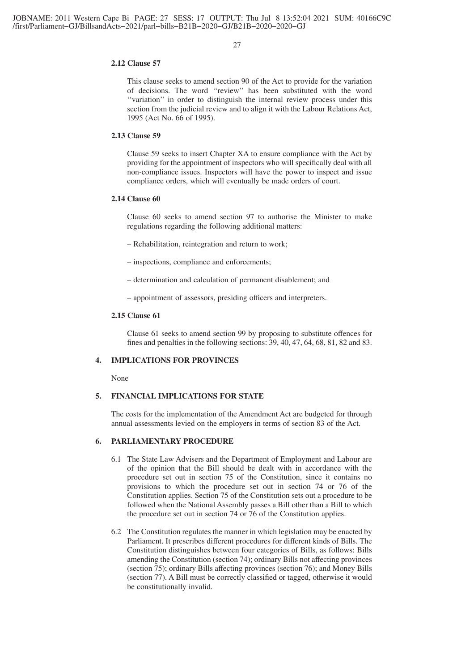# **2.12 Clause 57**

This clause seeks to amend section 90 of the Act to provide for the variation of decisions. The word ''review'' has been substituted with the word "variation" in order to distinguish the internal review process under this section from the judicial review and to align it with the Labour Relations Act, 1995 (Act No. 66 of 1995).

#### **2.13 Clause 59**

Clause 59 seeks to insert Chapter XA to ensure compliance with the Act by providing for the appointment of inspectors who will specifically deal with all non-compliance issues. Inspectors will have the power to inspect and issue compliance orders, which will eventually be made orders of court.

# **2.14 Clause 60**

Clause 60 seeks to amend section 97 to authorise the Minister to make regulations regarding the following additional matters:

- Rehabilitation, reintegration and return to work;
- inspections, compliance and enforcements;
- determination and calculation of permanent disablement; and
- appointment of assessors, presiding officers and interpreters.

#### **2.15 Clause 61**

Clause 61 seeks to amend section 99 by proposing to substitute offences for fines and penalties in the following sections: 39, 40, 47, 64, 68, 81, 82 and 83.

# **4. IMPLICATIONS FOR PROVINCES**

None

# **5. FINANCIAL IMPLICATIONS FOR STATE**

The costs for the implementation of the Amendment Act are budgeted for through annual assessments levied on the employers in terms of section 83 of the Act.

# **6. PARLIAMENTARY PROCEDURE**

- 6.1 The State Law Advisers and the Department of Employment and Labour are of the opinion that the Bill should be dealt with in accordance with the procedure set out in section 75 of the Constitution, since it contains no provisions to which the procedure set out in section 74 or 76 of the Constitution applies. Section 75 of the Constitution sets out a procedure to be followed when the National Assembly passes a Bill other than a Bill to which the procedure set out in section 74 or 76 of the Constitution applies.
- 6.2 The Constitution regulates the manner in which legislation may be enacted by Parliament. It prescribes different procedures for different kinds of Bills. The Constitution distinguishes between four categories of Bills, as follows: Bills amending the Constitution (section 74); ordinary Bills not affecting provinces (section 75); ordinary Bills affecting provinces (section 76); and Money Bills (section 77). A Bill must be correctly classified or tagged, otherwise it would be constitutionally invalid.